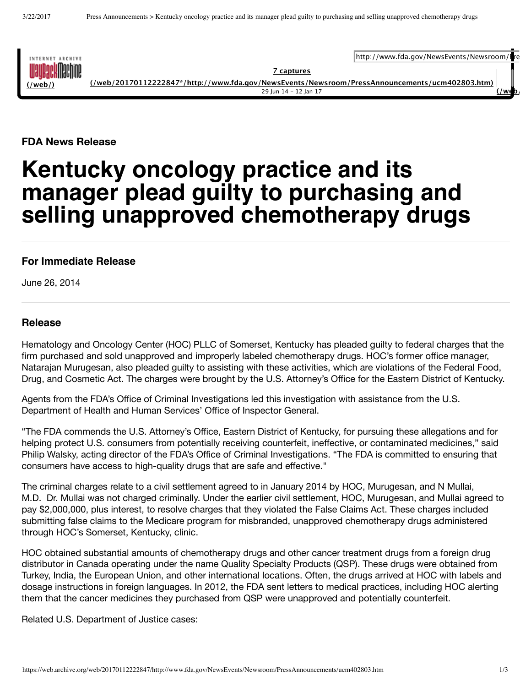

**7 captures [\(/web/20170112222847\\*/http://www.fda.gov/NewsEvents/Newsroom/PressAnnouncements/ucm402803.htm\)](https://web.archive.org/web/20170112222847*/http://www.fda.gov/NewsEvents/Newsroom/PressAnnouncements/ucm402803.htm)**

http://www.fda.gov/NewsEvents/Newsroom/

29 Jun 14 ‑ 12 Jan 17 **[\(/web/](https://web.archive.org/web/20120715000000/http://www.fda.gov/NewsEvents/Newsroom/PressAnnouncements/ucm402803.htm)20120715000000/http://www.fda.gov/NewsEvents/Newsroom/PressAnnouncements/ucm402803.htm)**

**FDA News Release**

## **Kentucky oncology practice and its manager plead guilty to purchasing and selling unapproved chemotherapy drugs**

## **For Immediate Release**

June 26, 2014

## **Release**

Hematology and Oncology Center (HOC) PLLC of Somerset, Kentucky has pleaded guilty to federal charges that the firm purchased and sold unapproved and improperly labeled chemotherapy drugs. HOC's former office manager, Natarajan Murugesan, also pleaded guilty to assisting with these activities, which are violations of the Federal Food, Drug, and Cosmetic Act. The charges were brought by the U.S. Attorney's Office for the Eastern District of Kentucky.

Agents from the FDA's Office of Criminal Investigations led this investigation with assistance from the U.S. Department of Health and Human Services' Office of Inspector General.

"The FDA commends the U.S. Attorney's Office, Eastern District of Kentucky, for pursuing these allegations and for helping protect U.S. consumers from potentially receiving counterfeit, ineffective, or contaminated medicines," said Philip Walsky, acting director of the FDA's Office of Criminal Investigations. "The FDA is committed to ensuring that consumers have access to high-quality drugs that are safe and effective."

The criminal charges relate to a civil settlement agreed to in January 2014 by HOC, Murugesan, and N Mullai, M.D. Dr. Mullai was not charged criminally. Under the earlier civil settlement, HOC, Murugesan, and Mullai agreed to pay \$2,000,000, plus interest, to resolve charges that they violated the False Claims Act. These charges included submitting false claims to the Medicare program for misbranded, unapproved chemotherapy drugs administered through HOC's Somerset, Kentucky, clinic.

HOC obtained substantial amounts of chemotherapy drugs and other cancer treatment drugs from a foreign drug distributor in Canada operating under the name Quality Specialty Products (QSP). These drugs were obtained from Turkey, India, the European Union, and other international locations. Often, the drugs arrived at HOC with labels and dosage instructions in foreign languages. In 2012, the FDA sent letters to medical practices, including HOC alerting them that the cancer medicines they purchased from QSP were unapproved and potentially counterfeit.

Related U.S. Department of Justice cases: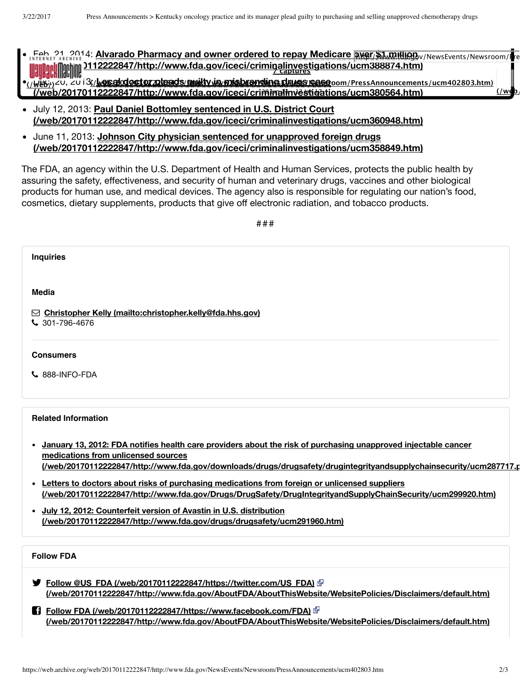- Feb. 21, 2014: Alvarado Pharmacy and owner ordered to repay Medicare <u>over/\$1.million</u>y/NewsEvents/Newsroom/Ire **[\(/web/20170112222847/http://www.fda.gov/iceci/criminalinvestigations/ucm388874.htm\)](https://web.archive.org/web/20170112222847/http://www.fda.gov/iceci/criminalinvestigations/ucm388874.htm) 7 captures** <u>(/Web/)</u>∠U, ZU I3<u>(/**Lesadodoctorzoleads/awilty in misbrandine deus reass**oom/PressAnnouncements/ucm402803.htm)</u> **[\(/web/20170112222847/http://www.fda.gov/iceci/criminalinvestigations/ucm380564.htm\)](https://web.archive.org/web/20170112222847/http://www.fda.gov/iceci/criminalinvestigations/ucm380564.htm)** 29 Jun 14 ‑ 12 Jan 17 **[\(/web/](https://web.archive.org/web/20120715000000/http://www.fda.gov/NewsEvents/Newsroom/PressAnnouncements/ucm402803.htm)20120715000000/http://www.fda.gov/NewsEvents/Newsroom/PressAnnouncements/ucm402803.htm)**
- July 12, 2013: **Paul Daniel Bottomley sentenced in U.S. District Court [\(/web/20170112222847/http://www.fda.gov/iceci/criminalinvestigations/ucm360948.htm\)](https://web.archive.org/web/20170112222847/http://www.fda.gov/iceci/criminalinvestigations/ucm360948.htm)**
- June 11, 2013: **Johnson City physician sentenced for unapproved foreign drugs [\(/web/20170112222847/http://www.fda.gov/iceci/criminalinvestigations/ucm358849.htm\)](https://web.archive.org/web/20170112222847/http://www.fda.gov/iceci/criminalinvestigations/ucm358849.htm)**

The FDA, an agency within the U.S. Department of Health and Human Services, protects the public health by assuring the safety, effectiveness, and security of human and veterinary drugs, vaccines and other biological products for human use, and medical devices. The agency also is responsible for regulating our nation's food, cosmetics, dietary supplements, products that give off electronic radiation, and tobacco products.

###

| <b>Inquiries</b>                                                                                                                                                                                                                                                                                                                                                  |  |
|-------------------------------------------------------------------------------------------------------------------------------------------------------------------------------------------------------------------------------------------------------------------------------------------------------------------------------------------------------------------|--|
| Media<br>⊡ Christopher Kelly (mailto:christopher.kelly@fda.hhs.gov)<br>$\frac{1}{2}$ 301-796-4676                                                                                                                                                                                                                                                                 |  |
| <b>Consumers</b><br>$\mathsf{L}$ 888-INFO-FDA                                                                                                                                                                                                                                                                                                                     |  |
| <b>Related Information</b><br>January 13, 2012: FDA notifies health care providers about the risk of purchasing unapproved injectable cancer<br>$\bullet$<br>medications from unlicensed sources<br>(/web/20170112222847/http://www.fda.gov/downloads/drugs/drugsafety/drugintegrityandsupplychainsecurity/ucm287717.r                                            |  |
| • Letters to doctors about risks of purchasing medications from foreign or unlicensed suppliers<br>(/web/20170112222847/http://www.fda.gov/Drugs/DrugSafety/DrugIntegrityandSupplyChainSecurity/ucm299920.htm)<br>• July 12, 2012: Counterfeit version of Avastin in U.S. distribution<br>(/web/20170112222847/http://www.fda.gov/drugs/drugsafety/ucm291960.htm) |  |
| <b>Follow FDA</b><br><b>● Follow @US FDA (/web/20170112222847/https://twitter.com/US FDA)</b> @<br>(/web/20170112222847/http://www.fda.gov/AboutFDA/AboutThisWebsite/WebsitePolicies/Disclaimers/default.htm)                                                                                                                                                     |  |
| (/web/20170112222847/http://www.fda.gov/AboutFDA/AboutThisWebsite/WebsitePolicies/Disclaimers/default.htm)                                                                                                                                                                                                                                                        |  |